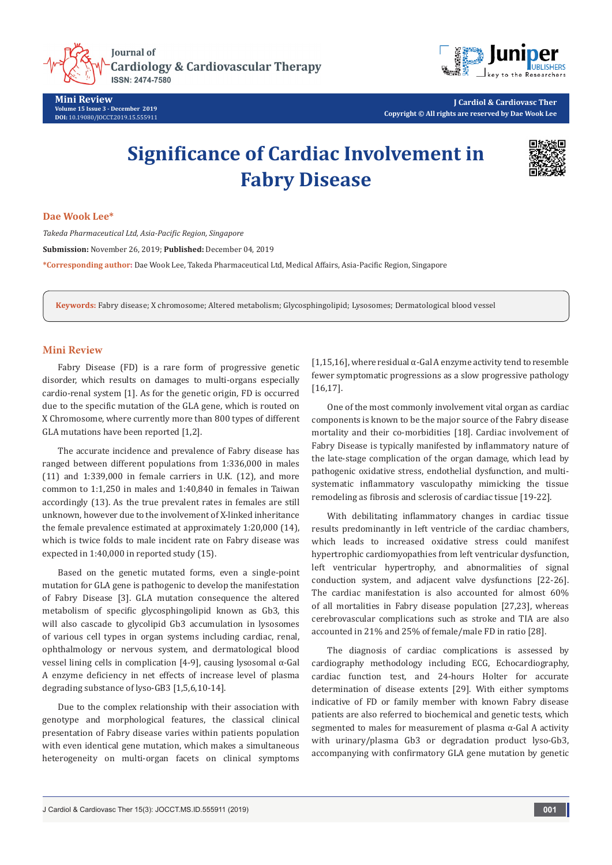

**Mini Review Volume 15 Issue 3 - December 2019 DOI:** [10.19080/JOCCT.2019.15.555911](http://dx.doi.org/10.19080/JOCCT.2019.15.555911)



**J Cardiol & Cardiovasc Ther Copyright © All rights are reserved by Dae Wook Lee**

# **Significance of Cardiac Involvement in Fabry Disease**



#### **Dae Wook Lee\***

*Takeda Pharmaceutical Ltd, Asia-Pacific Region, Singapore*

**Submission:** November 26, 2019; **Published:** December 04, 2019

**\*Corresponding author:** Dae Wook Lee, Takeda Pharmaceutical Ltd, Medical Affairs, Asia-Pacific Region, Singapore

**Keywords:** Fabry disease; X chromosome; Altered metabolism; Glycosphingolipid; Lysosomes; Dermatological blood vessel

### **Mini Review**

Fabry Disease (FD) is a rare form of progressive genetic disorder, which results on damages to multi-organs especially cardio-renal system [1]. As for the genetic origin, FD is occurred due to the specific mutation of the GLA gene, which is routed on X Chromosome, where currently more than 800 types of different GLA mutations have been reported [1,2].

The accurate incidence and prevalence of Fabry disease has ranged between different populations from 1:336,000 in males (11) and 1:339,000 in female carriers in U.K. (12), and more common to 1:1,250 in males and 1:40,840 in females in Taiwan accordingly (13). As the true prevalent rates in females are still unknown, however due to the involvement of X-linked inheritance the female prevalence estimated at approximately 1:20,000 (14), which is twice folds to male incident rate on Fabry disease was expected in 1:40,000 in reported study (15).

Based on the genetic mutated forms, even a single-point mutation for GLA gene is pathogenic to develop the manifestation of Fabry Disease [3]. GLA mutation consequence the altered metabolism of specific glycosphingolipid known as Gb3, this will also cascade to glycolipid Gb3 accumulation in lysosomes of various cell types in organ systems including cardiac, renal, ophthalmology or nervous system, and dermatological blood vessel lining cells in complication [4-9], causing lysosomal α-Gal A enzyme deficiency in net effects of increase level of plasma degrading substance of lyso-GB3 [1,5,6,10-14].

Due to the complex relationship with their association with genotype and morphological features, the classical clinical presentation of Fabry disease varies within patients population with even identical gene mutation, which makes a simultaneous heterogeneity on multi-organ facets on clinical symptoms

[1,15,16], where residual α-Gal A enzyme activity tend to resemble fewer symptomatic progressions as a slow progressive pathology [16,17].

One of the most commonly involvement vital organ as cardiac components is known to be the major source of the Fabry disease mortality and their co-morbidities [18]. Cardiac involvement of Fabry Disease is typically manifested by inflammatory nature of the late-stage complication of the organ damage, which lead by pathogenic oxidative stress, endothelial dysfunction, and multisystematic inflammatory vasculopathy mimicking the tissue remodeling as fibrosis and sclerosis of cardiac tissue [19-22].

With debilitating inflammatory changes in cardiac tissue results predominantly in left ventricle of the cardiac chambers, which leads to increased oxidative stress could manifest hypertrophic cardiomyopathies from left ventricular dysfunction, left ventricular hypertrophy, and abnormalities of signal conduction system, and adjacent valve dysfunctions [22-26]. The cardiac manifestation is also accounted for almost 60% of all mortalities in Fabry disease population [27,23], whereas cerebrovascular complications such as stroke and TIA are also accounted in 21% and 25% of female/male FD in ratio [28].

The diagnosis of cardiac complications is assessed by cardiography methodology including ECG, Echocardiography, cardiac function test, and 24-hours Holter for accurate determination of disease extents [29]. With either symptoms indicative of FD or family member with known Fabry disease patients are also referred to biochemical and genetic tests, which segmented to males for measurement of plasma  $\alpha$ -Gal A activity with urinary/plasma Gb3 or degradation product lyso-Gb3, accompanying with confirmatory GLA gene mutation by genetic

J Cardiol & Cardiovasc Ther 15(3): JOCCT.MS.ID.555911 (2019) **001**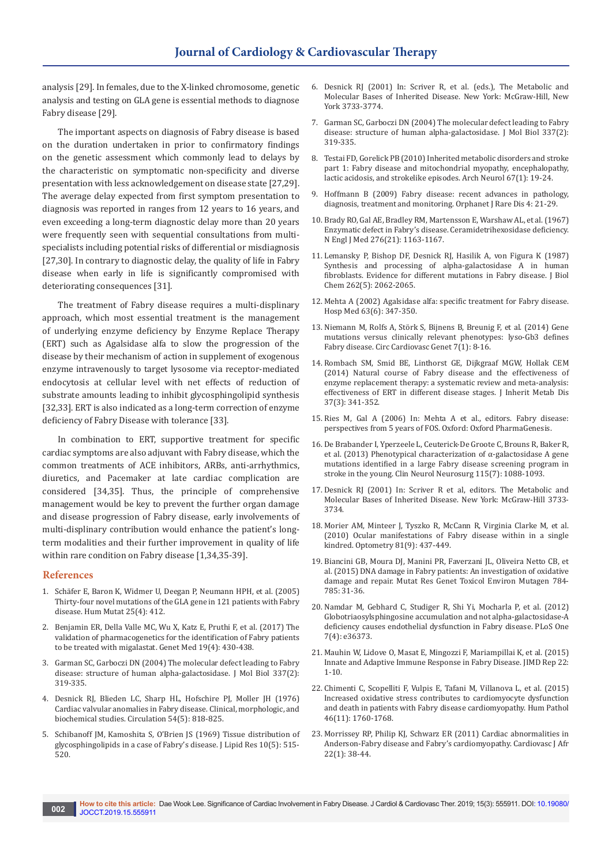analysis [29]. In females, due to the X-linked chromosome, genetic analysis and testing on GLA gene is essential methods to diagnose Fabry disease [29].

The important aspects on diagnosis of Fabry disease is based on the duration undertaken in prior to confirmatory findings on the genetic assessment which commonly lead to delays by the characteristic on symptomatic non-specificity and diverse presentation with less acknowledgement on disease state [27,29]. The average delay expected from first symptom presentation to diagnosis was reported in ranges from 12 years to 16 years, and even exceeding a long-term diagnostic delay more than 20 years were frequently seen with sequential consultations from multispecialists including potential risks of differential or misdiagnosis [27,30]. In contrary to diagnostic delay, the quality of life in Fabry disease when early in life is significantly compromised with deteriorating consequences [31].

The treatment of Fabry disease requires a multi-displinary approach, which most essential treatment is the management of underlying enzyme deficiency by Enzyme Replace Therapy (ERT) such as Agalsidase alfa to slow the progression of the disease by their mechanism of action in supplement of exogenous enzyme intravenously to target lysosome via receptor-mediated endocytosis at cellular level with net effects of reduction of substrate amounts leading to inhibit glycosphingolipid synthesis [32,33]. ERT is also indicated as a long-term correction of enzyme deficiency of Fabry Disease with tolerance [33].

In combination to ERT, supportive treatment for specific cardiac symptoms are also adjuvant with Fabry disease, which the common treatments of ACE inhibitors, ARBs, anti-arrhythmics, diuretics, and Pacemaker at late cardiac complication are considered [34,35]. Thus, the principle of comprehensive management would be key to prevent the further organ damage and disease progression of Fabry disease, early involvements of multi-displinary contribution would enhance the patient's longterm modalities and their further improvement in quality of life within rare condition on Fabry disease [1,34,35-39].

#### **References**

- 1. [Schäfer E, Baron K, Widmer U, Deegan P, Neumann HPH, et al. \(2005\)](https://www.ncbi.nlm.nih.gov/pubmed/15776423)  [Thirty-four novel mutations of the GLA gene in 121 patients with Fabry](https://www.ncbi.nlm.nih.gov/pubmed/15776423)  [disease. Hum Mutat 25\(4\): 412.](https://www.ncbi.nlm.nih.gov/pubmed/15776423)
- 2. [Benjamin ER, Della Valle MC, Wu X, Katz E, Pruthi F, et al. \(2017\) The](https://www.ncbi.nlm.nih.gov/pubmed/27657681)  [validation of pharmacogenetics for the identification of Fabry patients](https://www.ncbi.nlm.nih.gov/pubmed/27657681)  [to be treated with migalastat. Genet Med 19\(4\): 430-438.](https://www.ncbi.nlm.nih.gov/pubmed/27657681)
- 3. [Garman SC, Garboczi DN \(2004\) The molecular defect leading to Fabry](https://www.ncbi.nlm.nih.gov/pubmed/15003450)  [disease: structure of human alpha-galactosidase. J Mol Biol 337\(2\):](https://www.ncbi.nlm.nih.gov/pubmed/15003450)  [319-335.](https://www.ncbi.nlm.nih.gov/pubmed/15003450)
- 4. [Desnick RJ, Blieden LC, Sharp HL, Hofschire PJ, Moller JH \(1976\)](https://www.ncbi.nlm.nih.gov/pubmed/824066)  [Cardiac valvular anomalies in Fabry disease. Clinical, morphologic, and](https://www.ncbi.nlm.nih.gov/pubmed/824066)  [biochemical studies. Circulation 54\(5\): 818-825.](https://www.ncbi.nlm.nih.gov/pubmed/824066)
- 5. [Schibanoff JM, Kamoshita S, O'Brien JS \(1969\) Tissue distribution of](https://www.ncbi.nlm.nih.gov/pubmed/4309191)  [glycosphingolipids in a case of Fabry's disease. J Lipid Res 10\(5\): 515-](https://www.ncbi.nlm.nih.gov/pubmed/4309191) [520.](https://www.ncbi.nlm.nih.gov/pubmed/4309191)
- 6. Desnick RJ (2001) In: Scriver R, et al. (eds.), The Metabolic and Molecular Bases of Inherited Disease. New York: McGraw-Hill, New York 3733-3774.
- 7. [Garman SC, Garboczi DN \(2004\) The molecular defect leading to Fabry](https://www.ncbi.nlm.nih.gov/pubmed/15003450)  [disease: structure of human alpha-galactosidase. J Mol Biol 337\(2\):](https://www.ncbi.nlm.nih.gov/pubmed/15003450)  [319-335.](https://www.ncbi.nlm.nih.gov/pubmed/15003450)
- 8. [Testai FD, Gorelick PB \(2010\) Inherited metabolic disorders and stroke](https://www.ncbi.nlm.nih.gov/pubmed/20065125)  [part 1: Fabry disease and mitochondrial myopathy, encephalopathy,](https://www.ncbi.nlm.nih.gov/pubmed/20065125)  [lactic acidosis, and strokelike episodes. Arch Neurol 67\(1\): 19-24.](https://www.ncbi.nlm.nih.gov/pubmed/20065125)
- 9. [Hoffmann B \(2009\) Fabry disease: recent advances in pathology,](https://www.ncbi.nlm.nih.gov/pubmed/19818152)  [diagnosis, treatment and monitoring. Orphanet J Rare Dis 4: 21-29.](https://www.ncbi.nlm.nih.gov/pubmed/19818152)
- 10. [Brady RO, Gal AE, Bradley RM, Martensson E, Warshaw AL, et al. \(1967\)](https://www.ncbi.nlm.nih.gov/pubmed/6023233)  [Enzymatic defect in Fabry's disease. Ceramidetrihexosidase deficiency.](https://www.ncbi.nlm.nih.gov/pubmed/6023233)  [N Engl J Med 276\(21\): 1163-1167.](https://www.ncbi.nlm.nih.gov/pubmed/6023233)
- 11. [Lemansky P, Bishop DF, Desnick RJ, Hasilik A, von Figura K \(1987\)](https://www.ncbi.nlm.nih.gov/pubmed/3029062)  [Synthesis and processing of alpha-galactosidase A in human](https://www.ncbi.nlm.nih.gov/pubmed/3029062)  [fibroblasts. Evidence for different mutations in Fabry disease. J Biol](https://www.ncbi.nlm.nih.gov/pubmed/3029062)  [Chem 262\(5\): 2062-2065.](https://www.ncbi.nlm.nih.gov/pubmed/3029062)
- 12. [Mehta A \(2002\) Agalsidase alfa: specific treatment for Fabry disease.](https://www.ncbi.nlm.nih.gov/pubmed/12096664)  [Hosp Med 63\(6\): 347-350.](https://www.ncbi.nlm.nih.gov/pubmed/12096664)
- 13. [Niemann M, Rolfs A, Störk S, Bijnens B, Breunig F, et al. \(2014\) Gene](https://www.ncbi.nlm.nih.gov/pubmed/24395922)  [mutations versus clinically relevant phenotypes: lyso-Gb3 defines](https://www.ncbi.nlm.nih.gov/pubmed/24395922)  [Fabry disease. Circ Cardiovasc Genet 7\(1\): 8-16.](https://www.ncbi.nlm.nih.gov/pubmed/24395922)
- 14. [Rombach SM, Smid BE, Linthorst GE, Dijkgraaf MGW, Hollak CEM](https://www.ncbi.nlm.nih.gov/pubmed/24492980)  [\(2014\) Natural course of Fabry disease and the effectiveness of](https://www.ncbi.nlm.nih.gov/pubmed/24492980)  [enzyme replacement therapy: a systematic review and meta-analysis:](https://www.ncbi.nlm.nih.gov/pubmed/24492980)  [effectiveness of ERT in different disease stages. J Inherit Metab Dis](https://www.ncbi.nlm.nih.gov/pubmed/24492980)  [37\(3\): 341-352.](https://www.ncbi.nlm.nih.gov/pubmed/24492980)
- 15. Ries M, Gal A (2006) In: Mehta A et al., editors. Fabry disease: perspectives from 5 years of FOS. Oxford: Oxford PharmaGenesis.
- 16. [De Brabander I, Yperzeele L, Ceuterick-De Groote C, Brouns R, Baker R,](https://www.ncbi.nlm.nih.gov/pubmed/23219219)  [et al. \(2013\) Phenotypical characterization of α-galactosidase A gene](https://www.ncbi.nlm.nih.gov/pubmed/23219219)  [mutations identified in a large Fabry disease screening program in](https://www.ncbi.nlm.nih.gov/pubmed/23219219)  [stroke in the young. Clin Neurol Neurosurg 115\(7\): 1088-1093.](https://www.ncbi.nlm.nih.gov/pubmed/23219219)
- 17. Desnick RJ (2001) In: Scriver R et al, editors. The Metabolic and Molecular Bases of Inherited Disease. New York: McGraw-Hill 3733- 3734.
- 18. [Morier AM, Minteer J, Tyszko R, McCann R, Virginia Clarke M, et al.](https://www.ncbi.nlm.nih.gov/pubmed/20615758)  [\(2010\) Ocular manifestations of Fabry disease within in a single](https://www.ncbi.nlm.nih.gov/pubmed/20615758)  [kindred. Optometry 81\(9\): 437-449.](https://www.ncbi.nlm.nih.gov/pubmed/20615758)
- 19. [Biancini GB, Moura DJ, Manini PR, Faverzani JL, Oliveira Netto CB, et](https://www.ncbi.nlm.nih.gov/pubmed/26046974)  [al. \(2015\) DNA damage in Fabry patients: An investigation of oxidative](https://www.ncbi.nlm.nih.gov/pubmed/26046974)  [damage and repair. Mutat Res Genet Toxicol Environ Mutagen 784-](https://www.ncbi.nlm.nih.gov/pubmed/26046974) [785: 31-36.](https://www.ncbi.nlm.nih.gov/pubmed/26046974)
- 20. [Namdar M, Gebhard C, Studiger R, Shi Yi, Mocharla P, et al. \(2012\)](https://www.ncbi.nlm.nih.gov/pubmed/22558451)  [Globotriaosylsphingosine accumulation and not alpha-galactosidase-A](https://www.ncbi.nlm.nih.gov/pubmed/22558451)  [deficiency causes endothelial dysfunction in Fabry disease. PLoS One](https://www.ncbi.nlm.nih.gov/pubmed/22558451)  [7\(4\): e36373.](https://www.ncbi.nlm.nih.gov/pubmed/22558451)
- 21. [Mauhin W, Lidove O, Masat E, Mingozzi F, Mariampillai K, et al. \(2015\)](https://www.ncbi.nlm.nih.gov/pubmed/25690728)  [Innate and Adaptive Immune Response in Fabry Disease. JIMD Rep 22:](https://www.ncbi.nlm.nih.gov/pubmed/25690728)  [1-10.](https://www.ncbi.nlm.nih.gov/pubmed/25690728)
- 22. [Chimenti C, Scopelliti F, Vulpis E, Tafani M, Villanova L, et al. \(2015\)](https://www.ncbi.nlm.nih.gov/pubmed/26362204)  [Increased oxidative stress contributes to cardiomyocyte dysfunction](https://www.ncbi.nlm.nih.gov/pubmed/26362204)  [and death in patients with Fabry disease cardiomyopathy. Hum Pathol](https://www.ncbi.nlm.nih.gov/pubmed/26362204)  [46\(11\): 1760-1768.](https://www.ncbi.nlm.nih.gov/pubmed/26362204)
- 23. [Morrissey RP, Philip KJ, Schwarz ER \(2011\) Cardiac abnormalities in](https://www.ncbi.nlm.nih.gov/pubmed/21298206)  [Anderson-Fabry disease and Fabry's cardiomyopathy. Cardiovasc J Afr](https://www.ncbi.nlm.nih.gov/pubmed/21298206)  [22\(1\): 38-44.](https://www.ncbi.nlm.nih.gov/pubmed/21298206)